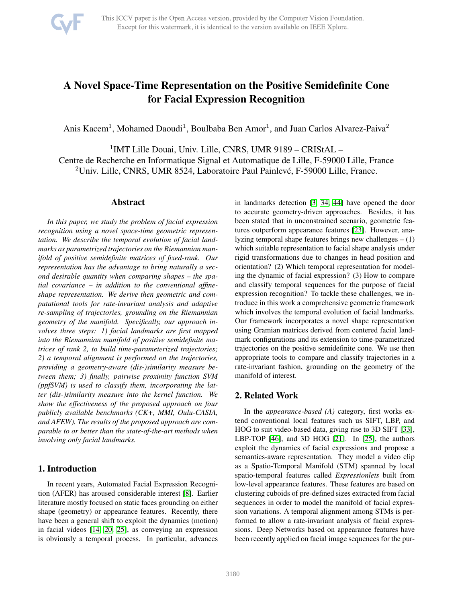

# A Novel Space-Time Representation on the Positive Semidefinite Cone for Facial Expression Recognition

Anis Kacem<sup>1</sup>, Mohamed Daoudi<sup>1</sup>, Boulbaba Ben Amor<sup>1</sup>, and Juan Carlos Alvarez-Paiva<sup>2</sup>

<sup>1</sup>IMT Lille Douai, Univ. Lille, CNRS, UMR 9189 - CRIStAL -Centre de Recherche en Informatique Signal et Automatique de Lille, F-59000 Lille, France <sup>2</sup>Univ. Lille, CNRS, UMR 8524, Laboratoire Paul Painlevé, F-59000 Lille, France.

# Abstract

*In this paper, we study the problem of facial expression recognition using a novel space-time geometric representation. We describe the temporal evolution of facial landmarks as parametrized trajectories on the Riemannian manifold of positive semidefinite matrices of fixed-rank. Our representation has the advantage to bring naturally a second desirable quantity when comparing shapes – the spatial covariance – in addition to the conventional affineshape representation. We derive then geometric and computational tools for rate-invariant analysis and adaptive re-sampling of trajectories, grounding on the Riemannian geometry of the manifold. Specifically, our approach involves three steps: 1) facial landmarks are first mapped into the Riemannian manifold of positive semidefinite matrices of rank 2, to build time-parameterized trajectories; 2) a temporal alignment is performed on the trajectories, providing a geometry-aware (dis-)similarity measure between them; 3) finally, pairwise proximity function SVM (ppfSVM) is used to classify them, incorporating the latter (dis-)similarity measure into the kernel function. We show the effectiveness of the proposed approach on four publicly available benchmarks (CK+, MMI, Oulu-CASIA, and AFEW). The results of the proposed approach are comparable to or better than the state-of-the-art methods when involving only facial landmarks.*

# 1. Introduction

In recent years, Automated Facial Expression Recognition (AFER) has aroused considerable interest [\[8\]](#page-8-0). Earlier literature mostly focused on static faces grounding on either shape (geometry) or appearance features. Recently, there have been a general shift to exploit the dynamics (motion) in facial videos [\[14,](#page-8-1) [20,](#page-8-2) [25\]](#page-8-3), as conveying an expression is obviously a temporal process. In particular, advances in landmarks detection [\[3,](#page-8-4) [34,](#page-9-0) [44\]](#page-9-1) have opened the door to accurate geometry-driven approaches. Besides, it has been stated that in unconstrained scenario, geometric features outperform appearance features [\[23\]](#page-8-5). However, analyzing temporal shape features brings new challenges – (1) which suitable representation to facial shape analysis under rigid transformations due to changes in head position and orientation? (2) Which temporal representation for modeling the dynamic of facial expression? (3) How to compare and classify temporal sequences for the purpose of facial expression recognition? To tackle these challenges, we introduce in this work a comprehensive geometric framework which involves the temporal evolution of facial landmarks. Our framework incorporates a novel shape representation using Gramian matrices derived from centered facial landmark configurations and its extension to time-parametrized trajectories on the positive semidefinite cone. We use then appropriate tools to compare and classify trajectories in a rate-invariant fashion, grounding on the geometry of the manifold of interest.

# 2. Related Work

In the *appearance-based (A)* category, first works extend conventional local features such us SIFT, LBP, and HOG to suit video-based data, giving rise to 3D SIFT [\[33\]](#page-9-2), LBP-TOP [\[46\]](#page-9-3), and 3D HOG [\[21\]](#page-8-6). In [\[25\]](#page-8-3), the authors exploit the dynamics of facial expressions and propose a semantics-aware representation. They model a video clip as a Spatio-Temporal Manifold (STM) spanned by local spatio-temporal features called *Expressionlets* built from low-level appearance features. These features are based on clustering cuboids of pre-defined sizes extracted from facial sequences in order to model the manifold of facial expression variations. A temporal alignment among STMs is performed to allow a rate-invariant analysis of facial expressions. Deep Networks based on appearance features have been recently applied on facial image sequences for the pur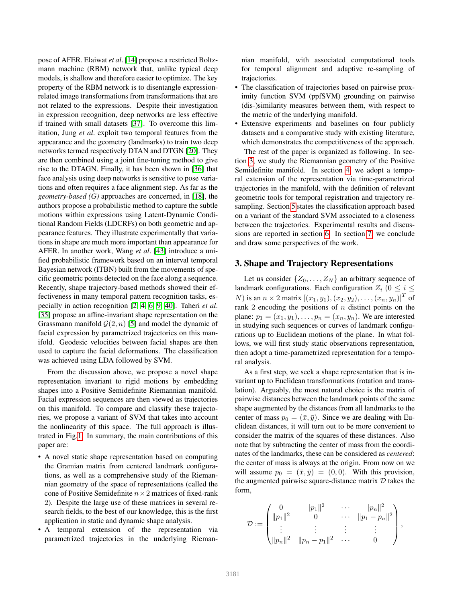pose of AFER. Elaiwat *et al*. [\[14\]](#page-8-1) propose a restricted Boltzmann machine (RBM) network that, unlike typical deep models, is shallow and therefore easier to optimize. The key property of the RBM network is to disentangle expressionrelated image transformations from transformations that are not related to the expressions. Despite their investigation in expression recognition, deep networks are less effective if trained with small datasets [\[37\]](#page-9-4). To overcome this limitation, Jung *et al*. exploit two temporal features from the appearance and the geometry (landmarks) to train two deep networks termed respectively DTAN and DTGN [\[20\]](#page-8-2). They are then combined using a joint fine-tuning method to give rise to the DTAGN. Finally, it has been shown in [\[36\]](#page-9-5) that face analysis using deep networks is sensitive to pose variations and often requires a face alignment step. As far as the *geometry-based (G)* approaches are concerned, in [\[18\]](#page-8-7), the authors propose a probabilistic method to capture the subtle motions within expressions using Latent-Dynamic Conditional Random Fields (LDCRFs) on both geometric and appearance features. They illustrate experimentally that variations in shape are much more important than appearance for AFER. In another work, Wang *et al*. [\[43\]](#page-9-6) introduce a unified probabilistic framework based on an interval temporal Bayesian network (ITBN) built from the movements of specific geometric points detected on the face along a sequence. Recently, shape trajectory-based methods showed their effectiveness in many temporal pattern recognition tasks, especially in action recognition [\[2,](#page-8-8) [4,](#page-8-9) [6,](#page-8-10) [9,](#page-8-11) [40\]](#page-9-7). Taheri *et al*. [\[35\]](#page-9-8) propose an affine-invariant shape representation on the Grassmann manifold  $\mathcal{G}(2, n)$  [\[5\]](#page-8-12) and model the dynamic of facial expression by parametrized trajectories on this manifold. Geodesic velocities between facial shapes are then used to capture the facial deformations. The classification was achieved using LDA followed by SVM.

From the discussion above, we propose a novel shape representation invariant to rigid motions by embedding shapes into a Positive Semidefinite Riemannian manifold. Facial expression sequences are then viewed as trajectories on this manifold. To compare and classify these trajectories, we propose a variant of SVM that takes into account the nonlinearity of this space. The full approach is illustrated in Fig[.1.](#page-2-0) In summary, the main contributions of this paper are:

- A novel static shape representation based on computing the Gramian matrix from centered landmark configurations, as well as a comprehensive study of the Riemannian geometry of the space of representations (called the cone of Positive Semidefinite  $n \times 2$  matrices of fixed-rank 2). Despite the large use of these matrices in several research fields, to the best of our knowledge, this is the first application in static and dynamic shape analysis.
- A temporal extension of the representation via parametrized trajectories in the underlying Rieman-

nian manifold, with associated computational tools for temporal alignment and adaptive re-sampling of trajectories.

- The classification of trajectories based on pairwise proximity function SVM (ppfSVM) grounding on pairwise (dis-)similarity measures between them, with respect to the metric of the underlying manifold.
- Extensive experiments and baselines on four publicly datasets and a comparative study with existing literature, which demonstrates the competitiveness of the approach.

The rest of the paper is organized as following. In section [3,](#page-1-0) we study the Riemannian geometry of the Positive Semidefinite manifold. In section [4,](#page-4-0) we adopt a temporal extension of the representation via time-parametrized trajectories in the manifold, with the definition of relevant geometric tools for temporal registration and trajectory resampling. Section [5](#page-4-1) states the classification approach based on a variant of the standard SVM associated to a closeness between the trajectories. Experimental results and discussions are reported in section [6.](#page-5-0) In section [7,](#page-7-0) we conclude and draw some perspectives of the work.

### <span id="page-1-0"></span>3. Shape and Trajectory Representations

Let us consider  $\{Z_0, \ldots, Z_N\}$  an arbitrary sequence of landmark configurations. Each configuration  $Z_i$  ( $0 \le i \le$  $N)$  is an  $n \times 2$  matrix  $[(x_1, y_1), (x_2, y_2), \dots, (x_n, y_n)]^T$  of rank 2 encoding the positions of  $n$  distinct points on the plane:  $p_1 = (x_1, y_1), \ldots, p_n = (x_n, y_n)$ . We are interested in studying such sequences or curves of landmark configurations up to Euclidean motions of the plane. In what follows, we will first study static observations representation, then adopt a time-parametrized representation for a temporal analysis.

As a first step, we seek a shape representation that is invariant up to Euclidean transformations (rotation and translation). Arguably, the most natural choice is the matrix of pairwise distances between the landmark points of the same shape augmented by the distances from all landmarks to the center of mass  $p_0 = (\bar{x}, \bar{y})$ . Since we are dealing with Euclidean distances, it will turn out to be more convenient to consider the matrix of the squares of these distances. Also note that by subtracting the center of mass from the coordinates of the landmarks, these can be considered as *centered*: the center of mass is always at the origin. From now on we will assume  $p_0 = (\bar{x}, \bar{y}) = (0, 0)$ . With this provision, the augmented pairwise square-distance matrix  $D$  takes the form,

$$
\mathcal{D}:=\begin{pmatrix}0&\|p_1\|^2&\cdots&\|p_n\|^2\\\|p_1\|^2&0&\cdots&\|p_1-p_n\|^2\\\vdots&\vdots&\vdots&\vdots\\\|p_n\|^2&\|p_n-p_1\|^2&\cdots&0\end{pmatrix},
$$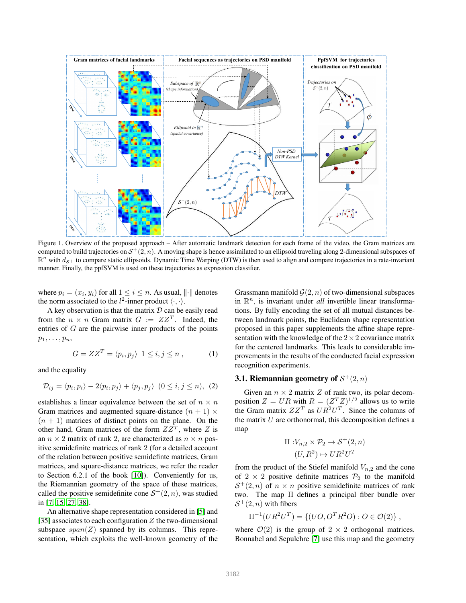

<span id="page-2-0"></span>Figure 1. Overview of the proposed approach – After automatic landmark detection for each frame of the video, the Gram matrices are computed to build trajectories on  $S^+(2,n)$ . A moving shape is hence assimilated to an ellipsoid traveling along 2-dimensional subspaces of  $\mathbb{R}^n$  with  $d_{\mathcal{S}^+}$  to compare static ellipsoids. Dynamic Time Warping (DTW) is then used to align and compare trajectories in a rate-invariant manner. Finally, the ppfSVM is used on these trajectories as expression classifier.

where  $p_i = (x_i, y_i)$  for all  $1 \leq i \leq n$ . As usual,  $\left\| \cdot \right\|$  denotes the norm associated to the  $l^2$ -inner product  $\langle \cdot, \cdot \rangle$ .

A key observation is that the matrix  $D$  can be easily read from the  $n \times n$  Gram matrix  $G := ZZ^T$ . Indeed, the entries of G are the pairwise inner products of the points  $p_1, \ldots, p_n$ 

$$
G = ZZ^T = \langle p_i, p_j \rangle \ \ 1 \le i, j \le n \ , \tag{1}
$$

and the equality

$$
\mathcal{D}_{ij} = \langle p_i, p_i \rangle - 2\langle p_i, p_j \rangle + \langle p_j, p_j \rangle \ (0 \le i, j \le n), \ (2)
$$

establishes a linear equivalence between the set of  $n \times n$ Gram matrices and augmented square-distance  $(n + 1) \times$  $(n + 1)$  matrices of distinct points on the plane. On the other hand, Gram matrices of the form  $ZZ^T$ , where Z is an  $n \times 2$  matrix of rank 2, are characterized as  $n \times n$  positive semidefinite matrices of rank 2 (for a detailed account of the relation between positive semidefinte matrices, Gram matrices, and square-distance matrices, we refer the reader to Section 6.2.1 of the book [\[10\]](#page-8-13)). Conveniently for us, the Riemannian geometry of the space of these matrices, called the positive semidefinite cone  $S^+(2, n)$ , was studied in [\[7,](#page-8-14) [15,](#page-8-15) [27,](#page-8-16) [38\]](#page-9-9).

An alternative shape representation considered in [\[5\]](#page-8-12) and [\[35\]](#page-9-8) associates to each configuration  $Z$  the two-dimensional subspace  $span(Z)$  spanned by its columns. This representation, which exploits the well-known geometry of the

Grassmann manifold  $\mathcal{G}(2, n)$  of two-dimensional subspaces in  $\mathbb{R}^n$ , is invariant under *all* invertible linear transformations. By fully encoding the set of all mutual distances between landmark points, the Euclidean shape representation proposed in this paper supplements the affine shape representation with the knowledge of the  $2 \times 2$  covariance matrix for the centered landmarks. This leads to considerable improvements in the results of the conducted facial expression recognition experiments.

# 3.1. Riemannian geometry of  $S^+(2,n)$

Given an  $n \times 2$  matrix Z of rank two, its polar decomposition  $Z = UR$  with  $R = (Z^T Z)^{1/2}$  allows us to write the Gram matrix  $ZZ^T$  as  $UR^2U^T$ . Since the columns of the matrix  $U$  are orthonormal, this decomposition defines a map

$$
\Pi: V_{n,2} \times \mathcal{P}_2 \to \mathcal{S}^+(2,n)
$$

$$
(U,R^2) \mapsto UR^2U^T
$$

from the product of the Stiefel manifold  $V_{n,2}$  and the cone of  $2 \times 2$  positive definite matrices  $\mathcal{P}_2$  to the manifold  $S^+(2,n)$  of  $n \times n$  positive semidefinite matrices of rank two. The map Π defines a principal fiber bundle over  $S^+(2, n)$  with fibers

$$
\Pi^{-1}(UR^2U^T) = \{ (UO, O^TR^2O) : O \in \mathcal{O}(2) \},
$$

where  $\mathcal{O}(2)$  is the group of  $2 \times 2$  orthogonal matrices. Bonnabel and Sepulchre [\[7\]](#page-8-14) use this map and the geometry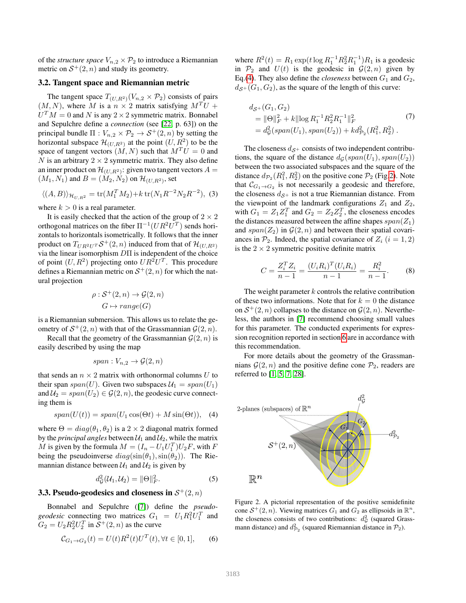of the *structure space*  $V_{n,2} \times P_2$  to introduce a Riemannian metric on  $S^+(2, n)$  and study its geometry.

#### 3.2. Tangent space and Riemannian metric

The tangent space  $T_{(U,R^2)}(V_{n,2} \times P_2)$  consists of pairs  $(M, N)$ , where M is a  $n \times 2$  matrix satisfying  $M<sup>T</sup>U$  +  $U^T M = 0$  and N is any  $2 \times 2$  symmetric matrix. Bonnabel and Sepulchre define a *connection* (see [\[22,](#page-8-17) p. 63]) on the principal bundle  $\Pi : V_{n,2} \times P_2 \to S^+(2,n)$  by setting the horizontal subspace  $\mathcal{H}_{(U,R^2)}$  at the point  $(U,R^2)$  to be the space of tangent vectors  $(M, N)$  such that  $M<sup>T</sup>U = 0$  and N is an arbitrary  $2 \times 2$  symmetric matrix. They also define an inner product on  $\mathcal{H}_{(U,R^2)}$ : given two tangent vectors  $A=$  $(M_1, N_1)$  and  $B = (M_2, N_2)$  on  $\mathcal{H}_{(U, R^2)}$ , set

<span id="page-3-0"></span>
$$
\langle (A,B) \rangle_{\mathcal{H}_{U,R^2}} = \text{tr}(M_1^T M_2) + k \text{tr}(N_1 R^{-2} N_2 R^{-2}), \tag{3}
$$

where  $k > 0$  is a real parameter.

It is easily checked that the action of the group of  $2 \times 2$ orthogonal matrices on the fiber  $\Pi^{-1}(UR^2U^T)$  sends horizontals to horizontals isometrically. It follows that the inner product on  $T_{UR^2U^T} \mathcal{S}^+(2, n)$  induced from that of  $\mathcal{H}_{(U, R^2)}$ via the linear isomorphism DΠ is independent of the choice of point  $(U, R^2)$  projecting onto  $UR^2U^T$ . This procedure defines a Riemannian metric on  $S^+(2, n)$  for which the natural projection

$$
\rho : \mathcal{S}^+(2, n) \to \mathcal{G}(2, n)
$$

$$
G \mapsto range(G)
$$

is a Riemannian submersion. This allows us to relate the geometry of  $S^+(2, n)$  with that of the Grassmannian  $\mathcal{G}(2, n)$ .

Recall that the geometry of the Grassmannian  $\mathcal{G}(2, n)$  is easily described by using the map

$$
span: V_{n,2} \to \mathcal{G}(2,n)
$$

that sends an  $n \times 2$  matrix with orthonormal columns U to their span  $span(U)$ . Given two subspaces  $\mathcal{U}_1 = span(U_1)$ and  $U_2 = span(U_2) \in \mathcal{G}(2, n)$ , the geodesic curve connecting them is

$$
span(U(t)) = span(U_1 \cos(\Theta t) + M \sin(\Theta t)), \quad (4)
$$

where  $\Theta = diag(\theta_1, \theta_2)$  is a 2 × 2 diagonal matrix formed by the *principal angles* between  $U_1$  and  $U_2$ , while the matrix M is given by the formula  $M = (I_n - U_1 U_1^T) U_2 F$ , with F being the pseudoinverse  $diag(\sin(\theta_1), \sin(\theta_2))$ . The Riemannian distance between  $\mathcal{U}_1$  and  $\mathcal{U}_2$  is given by

$$
d_{\mathcal{G}}^2(\mathcal{U}_1, \mathcal{U}_2) = ||\Theta||_F^2. \tag{5}
$$

# **3.3. Pseudo-geodesics and closeness in**  $\mathcal{S}^+(2,n)$

Bonnabel and Sepulchre ([\[7\]](#page-8-14)) define the *pseudo*geodesic connecting two matrices  $G_1 = U_1 R_1^2 U_1^T$  and  $G_2 = U_2 R_2^2 U_2^T$  in  $S^+(2, n)$  as the curve

<span id="page-3-2"></span>
$$
C_{G_1 \to G_2}(t) = U(t)R^2(t)U^T(t), \forall t \in [0, 1], \quad (6)
$$

where  $R^2(t) = R_1 \exp(t \log R_1^{-1} R_2^2 R_1^{-1}) R_1$  is a geodesic in  $\mathcal{P}_2$  and  $U(t)$  is the geodesic in  $\mathcal{G}(2,n)$  given by Eq.[\(4\)](#page-3-0). They also define the *closeness* between  $G_1$  and  $G_2$ ,  $d_{\mathcal{S}^+}(G_1, G_2)$ , as the square of the length of this curve:

$$
d_{\mathcal{S}^+}(G_1, G_2)
$$
  
=  $||\Theta||_F^2 + k||\log R_1^{-1} R_2^2 R_1^{-1}||_F^2$  (7)  
=  $d_{\mathcal{G}}^2(\text{span}(U_1), \text{span}(U_2)) + k d_{\mathcal{P}_2}^2(R_1^2, R_2^2)$ .

The closeness  $d_{\mathcal{S}^+}$  consists of two independent contributions, the square of the distance  $d_G(span(U_1), span(U_2))$ between the two associated subspaces and the square of the distance  $d_{\mathcal{P}_2}(R_1^2, R_2^2)$  on the positive cone  $\mathcal{P}_2$  (Fig[.2\)](#page-3-1). Note that  $C_{G_1 \to G_2}$  is not necessarily a geodesic and therefore, the closeness  $d_{\mathcal{S}^+}$  is not a true Riemannian distance. From the viewpoint of the landmark configurations  $Z_1$  and  $Z_2$ , with  $G_1 = Z_1 Z_1^T$  and  $G_2 = Z_2 Z_2^T$ , the closeness encodes the distances measured between the affine shapes  $span(Z_1)$ and  $span(Z_2)$  in  $\mathcal{G}(2,n)$  and between their spatial covariances in  $\mathcal{P}_2$ . Indeed, the spatial covariance of  $Z_i$  (i = 1, 2) is the  $2 \times 2$  symmetric positive definite matrix

$$
C = \frac{Z_i^T Z_i}{n-1} = \frac{(U_i R_i)^T (U_i R_i)}{n-1} = \frac{R_i^2}{n-1}.
$$
 (8)

The weight parameter  $k$  controls the relative contribution of these two informations. Note that for  $k = 0$  the distance on  $S^+(2, n)$  collapses to the distance on  $\mathcal{G}(2, n)$ . Nevertheless, the authors in [\[7\]](#page-8-14) recommend choosing small values for this parameter. The conducted experiments for expression recognition reported in section [6](#page-5-0) are in accordance with this recommendation.

For more details about the geometry of the Grassmannians  $\mathcal{G}(2, n)$  and the positive define cone  $\mathcal{P}_2$ , readers are referred to [\[1,](#page-8-18) [5,](#page-8-12) [7,](#page-8-14) [28\]](#page-8-19).



<span id="page-3-1"></span>Figure 2. A pictorial representation of the positive semidefinite cone  $S^+(2, n)$ . Viewing matrices  $G_1$  and  $G_2$  as ellipsoids in  $\mathbb{R}^n$ , the closeness consists of two contributions:  $d_{\mathcal{G}}^2$  (squared Grassmann distance) and  $d_{\mathcal{P}_2}^2$  (squared Riemannian distance in  $\mathcal{P}_2$ ).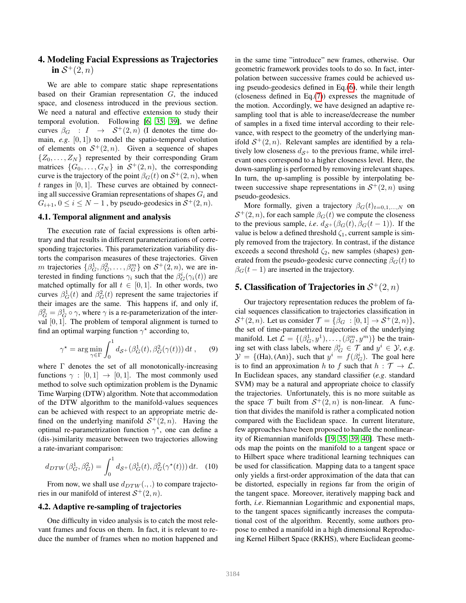# <span id="page-4-0"></span>4. Modeling Facial Expressions as Trajectories in  $S^+(2,n)$

We are able to compare static shape representations based on their Gramian representation G, the induced space, and closeness introduced in the previous section. We need a natural and effective extension to study their temporal evolution. Following [\[6,](#page-8-10) [35,](#page-9-8) [39\]](#page-9-10), we define curves  $\beta_G : I \rightarrow S^+(2,n)$  (I denotes the time domain, *e.g*. [0, 1]) to model the spatio-temporal evolution of elements on  $S^+(2,n)$ . Given a sequence of shapes  $\{Z_0, \ldots, Z_N\}$  represented by their corresponding Gram matrices  $\{G_0, \ldots, G_N\}$  in  $S^+(2, n)$ , the corresponding curve is the trajectory of the point  $\beta_G(t)$  on  $S^+(2, n)$ , when  $t$  ranges in [0, 1]. These curves are obtained by connecting all successive Gramian representations of shapes  $G_i$  and  $G_{i+1}$ ,  $0 \le i \le N-1$ , by pseudo-geodesics in  $S^+(2, n)$ .

#### 4.1. Temporal alignment and analysis

The execution rate of facial expressions is often arbitrary and that results in different parameterizations of corresponding trajectories. This parameterization variability distorts the comparison measures of these trajectories. Given m trajectories  $\{\beta_G^1, \beta_G^2, \dots, \beta_G^m\}$  on  $S^+(2, n)$ , we are interested in finding functions  $\gamma_i$  such that the  $\beta_G^i(\gamma_i(t))$  are matched optimally for all  $t \in [0, 1]$ . In other words, two curves  $\beta_G^1(t)$  and  $\beta_G^2(t)$  represent the same trajectories if their images are the same. This happens if, and only if,  $\beta_G^2 = \beta_G^1 \circ \gamma$ , where  $\gamma$  is a re-parameterization of the interval [0, 1]. The problem of temporal alignment is turned to find an optimal warping function  $\gamma^*$  according to,

$$
\gamma^* = \arg\min_{\gamma \in \Gamma} \int_0^1 d_{\mathcal{S}^+}(\beta_G^1(t), \beta_G^2(\gamma(t))) dt , \qquad (9)
$$

where  $\Gamma$  denotes the set of all monotonically-increasing functions  $\gamma : [0, 1] \rightarrow [0, 1]$ . The most commonly used method to solve such optimization problem is the Dynamic Time Warping (DTW) algorithm. Note that accommodation of the DTW algorithm to the manifold-values sequences can be achieved with respect to an appropriate metric defined on the underlying manifold  $S^+(2, n)$ . Having the optimal re-parametrization function  $\gamma^*$ , one can define a (dis-)similarity measure between two trajectories allowing a rate-invariant comparison:

<span id="page-4-2"></span>
$$
d_{DTW}(\beta_G^1, \beta_G^2) = \int_0^1 d_{\mathcal{S}^+}(\beta_G^1(t), \beta_G^2(\gamma^*(t))) dt. \quad (10)
$$

From now, we shall use  $d_{DTW}(.,.)$  to compare trajectories in our manifold of interest  $S^+(2, n)$ .

# 4.2. Adaptive re-sampling of trajectories

One difficulty in video analysis is to catch the most relevant frames and focus on them. In fact, it is relevant to reduce the number of frames when no motion happened and in the same time "introduce" new frames, otherwise. Our geometric framework provides tools to do so. In fact, interpolation between successive frames could be achieved using pseudo-geodesics defined in Eq.[\(6\)](#page-3-2), while their length (closeness defined in Eq.[\(7\)](#page-3-2)) expresses the magnitude of the motion. Accordingly, we have designed an adaptive resampling tool that is able to increase/decrease the number of samples in a fixed time interval according to their relevance, with respect to the geometry of the underlying manifold  $S^+(2, n)$ . Relevant samples are identified by a relatively low closeness  $d_{\mathcal{S}^+}$  to the previous frame, while irrelevant ones correspond to a higher closeness level. Here, the down-sampling is performed by removing irrelevant shapes. In turn, the up-sampling is possible by interpolating between successive shape representations in  $S^+(2, n)$  using pseudo-geodesics.

More formally, given a trajectory  $\beta_G(t)_{t=0,1,\ldots,N}$  on  $S^+(2, n)$ , for each sample  $\beta_G(t)$  we compute the closeness to the previous sample, *i.e.*  $d_{\mathcal{S}^+}(\beta_G(t), \beta_G(t-1))$ . If the value is below a defined threshold  $\zeta_1$ , current sample is simply removed from the trajectory. In contrast, if the distance exceeds a second threshold  $\zeta_2$ , new samples (shapes) generated from the pseudo-geodesic curve connecting  $\beta_G(t)$  to  $\beta$ <sub>G</sub>(t – 1) are inserted in the trajectory.

# <span id="page-4-1"></span>5. Classification of Trajectories in  $\mathcal{S}^+(2,n)$

Our trajectory representation reduces the problem of facial sequences classification to trajectories classification in  $S^+(2, n)$ . Let us consider  $\mathcal{T} = {\beta_G : [0, 1] \rightarrow S^+(2, n)},$ the set of time-parametrized trajectories of the underlying manifold. Let  $\mathcal{L} = \{(\beta_G^1, y^1), \dots, (\beta_G^m, y^m)\}\$  be the training set with class labels, where  $\beta_G^i \in \mathcal{T}$  and  $y^i \in \mathcal{Y}$ , *e.g.*  $\mathcal{Y} = \{(\text{Ha}), (\text{An})\},$  such that  $y^i = f(\beta_G^i)$ . The goal here is to find an approximation h to f such that  $h : \mathcal{T} \to \mathcal{L}$ . In Euclidean spaces, any standard classifier (*e.g*. standard SVM) may be a natural and appropriate choice to classify the trajectories. Unfortunately, this is no more suitable as the space  $\mathcal T$  built from  $\mathcal S^+(2,n)$  is non-linear. A function that divides the manifold is rather a complicated notion compared with the Euclidean space. In current literature, few approaches have been proposed to handle the nonlinearity of Riemannian manifolds [\[19,](#page-8-20) [35,](#page-9-8) [39,](#page-9-10) [40\]](#page-9-7). These methods map the points on the manifold to a tangent space or to Hilbert space where traditional learning techniques can be used for classification. Mapping data to a tangent space only yields a first-order approximation of the data that can be distorted, especially in regions far from the origin of the tangent space. Moreover, iteratively mapping back and forth, *i.e*. Riemannian Logarithmic and exponential maps, to the tangent spaces significantly increases the computational cost of the algorithm. Recently, some authors propose to embed a manifold in a high dimensional Reproducing Kernel Hilbert Space (RKHS), where Euclidean geome-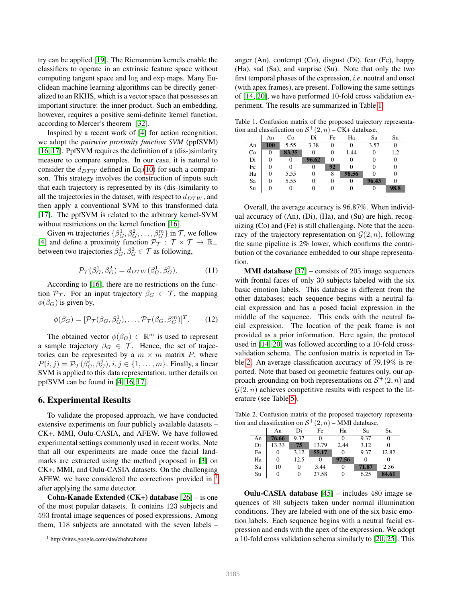try can be applied [\[19\]](#page-8-20). The Riemannian kernels enable the classifiers to operate in an extrinsic feature space without computing tangent space and log and exp maps. Many Euclidean machine learning algorithms can be directly generalized to an RKHS, which is a vector space that possesses an important structure: the inner product. Such an embedding, however, requires a positive semi-definite kernel function, according to Mercer's theorem [\[32\]](#page-9-11).

Inspired by a recent work of [\[4\]](#page-8-9) for action recognition, we adopt the *pairwise proximity function SVM* (ppfSVM) [\[16,](#page-8-21) [17\]](#page-8-22). PpfSVM requires the definition of a (dis-)simlarity measure to compare samples. In our case, it is natural to consider the  $d_{DTW}$  defined in Eq.[\(10\)](#page-4-2) for such a comparison. This strategy involves the construction of inputs such that each trajectory is represented by its (dis-)similarity to all the trajectories in the dataset, with respect to  $d_{DTW}$ , and then apply a conventional SVM to this transformed data [\[17\]](#page-8-22). The ppfSVM is related to the arbitrary kernel-SVM without restrictions on the kernel function [\[16\]](#page-8-21).

Given m trajectories  $\{\beta_G^1, \beta_G^2, \dots, \beta_G^m\}$  in  $\mathcal{T}$ , we follow [\[4\]](#page-8-9) and define a proximity function  $\mathcal{P}_{\mathcal{T}} : \mathcal{T} \times \mathcal{T} \rightarrow \mathbb{R}_+$ between two trajectories  $\beta_G^1, \beta_G^2 \in \mathcal{T}$  as following,

$$
\mathcal{P}_{\mathcal{T}}(\beta_G^1, \beta_G^2) = d_{DTW}(\beta_G^1, \beta_G^2). \tag{11}
$$

According to [\[16\]](#page-8-21), there are no restrictions on the function  $\mathcal{P}_{\mathcal{T}}$ . For an input trajectory  $\beta_G \in \mathcal{T}$ , the mapping  $\phi(\beta_G)$  is given by,

$$
\phi(\beta_G) = [\mathcal{P}_{\mathcal{T}}(\beta_G, \beta_G^1), \dots, \mathcal{P}_{\mathcal{T}}(\beta_G, \beta_G^m)]^T. \tag{12}
$$

The obtained vector  $\phi(\beta_G) \in \mathbb{R}^m$  is used to represent a sample trajectory  $\beta_G \in \mathcal{T}$ . Hence, the set of trajectories can be represented by a  $m \times m$  matrix P, where  $P(i, j) = \mathcal{P}_{\mathcal{T}}(\beta_G^{\overline{i}}, \beta_G^j), i, j \in \{1, \ldots, m\}$ . Finally, a linear SVM is applied to this data representation. urther details on ppfSVM can be found in [\[4,](#page-8-9) [16,](#page-8-21) [17\]](#page-8-22).

#### <span id="page-5-0"></span>6. Experimental Results

To validate the proposed approach, we have conducted extensive experiments on four publicly available datasets – CK+, MMI, Oulu-CASIA, and AFEW. We have followed experimental settings commonly used in recent works. Note that all our experiments are made once the facial landmarks are extracted using the method proposed in [\[3\]](#page-8-4) on CK+, MMI, and Oulu-CASIA datasets. On the challenging AFEW, we have considered the corrections provided in <sup>[1](#page-5-1)</sup> after applying the same detector.

Cohn-Kanade Extended (CK+) database [\[26\]](#page-8-23) – is one of the most popular datasets. It contains 123 subjects and 593 frontal image sequences of posed expressions. Among them, 118 subjects are annotated with the seven labels –

anger (An), contempt (Co), disgust (Di), fear (Fe), happy (Ha), sad (Sa), and surprise (Su). Note that only the two first temporal phases of the expression, *i.e*. neutral and onset (with apex frames), are present. Following the same settings of [\[14,](#page-8-1) [20\]](#page-8-2), we have performed 10-fold cross validation experiment. The results are summarized in Table [1.](#page-5-2)

Table 1. Confusion matrix of the proposed trajectory representation and classification on  $S^+(2, n) - CK +$  database.

<span id="page-5-2"></span>

|    | An         | Co    | Di    | Fe | Ha    | Sa    | Su     |
|----|------------|-------|-------|----|-------|-------|--------|
| An | <b>100</b> | 5.55  | 3.38  | 0  |       | 3.57  | 0      |
| Co | 0          | 83.35 |       | 0  | 1.44  | 0     | 1.2    |
| Di | 0          | 0     | 96.62 | 0  |       | 0     | 0      |
| Fe | 0          | 0     |       | 92 |       |       | $_{0}$ |
| Ha | 0          | 5.55  | 0     | 8  | 98.56 |       | 0      |
| Sa | 0          | 5.55  |       | 0  | 0     | 96.43 | 0      |
| Su | 0          | 0     |       | 0  |       | 0     | 98.8   |
|    |            |       |       |    |       |       |        |

Overall, the average accuracy is 96.87%. When individual accuracy of (An), (Di), (Ha), and (Su) are high, recognizing (Co) and (Fe) is still challenging. Note that the accuracy of the trajectory representation on  $\mathcal{G}(2, n)$ , following the same pipeline is 2% lower, which confirms the contribution of the covariance embedded to our shape representation.

**MMI database** [\[37\]](#page-9-4) – consists of 205 image sequences with frontal faces of only 30 subjects labeled with the six basic emotion labels. This database is different from the other databases; each sequence begins with a neutral facial expression and has a posed facial expression in the middle of the sequence. This ends with the neutral facial expression. The location of the peak frame is not provided as a prior information. Here again, the protocol used in [\[14,](#page-8-1) [20\]](#page-8-2) was followed according to a 10-fold crossvalidation schema. The confusion matrix is reported in Table [2.](#page-5-3) An average classification accuracy of 79.19% is reported. Note that based on geometric features only, our approach grounding on both representations on  $S^+(2, n)$  and  $\mathcal{G}(2, n)$  achieves competitive results with respect to the literature (see Table [5\)](#page-6-0).

Table 2. Confusion matrix of the proposed trajectory representation and classification on  $S^+(2, n)$  – MMI database.

<span id="page-5-3"></span>

| $\frac{1}{2}$ . The choice of $\frac{1}{2}$ and $\frac{1}{2}$ and $\frac{1}{2}$ and $\frac{1}{2}$ and $\frac{1}{2}$ and $\frac{1}{2}$ and $\frac{1}{2}$ and $\frac{1}{2}$ and $\frac{1}{2}$ and $\frac{1}{2}$ and $\frac{1}{2}$ and $\frac{1}{2}$ and $\frac{1}{2}$ and $\frac{1}{2}$ and |        |      |          | 1111111 uuutouve. |       |       |
|-------------------------------------------------------------------------------------------------------------------------------------------------------------------------------------------------------------------------------------------------------------------------------------------|--------|------|----------|-------------------|-------|-------|
|                                                                                                                                                                                                                                                                                           | An     | Di   | Fe       | Ha                | Sa    | Su    |
| An                                                                                                                                                                                                                                                                                        | 76.66  | 9.37 |          |                   | 9.37  |       |
| Di                                                                                                                                                                                                                                                                                        | 13.33  | 75   | 13.79    | 2.44              | 3.12  |       |
| Fe                                                                                                                                                                                                                                                                                        | $_{0}$ | 3.12 | 55.17    |                   | 9.37  | 12.82 |
| Ha                                                                                                                                                                                                                                                                                        | 0      | 12.5 | $\theta$ | 97.56             |       |       |
| Sa                                                                                                                                                                                                                                                                                        | 10     | 0    | 3.44     | $\Omega$          | 71.87 | 2.56  |
| Su                                                                                                                                                                                                                                                                                        | 0      |      | 27.58    |                   | 6.25  | 84.61 |

Oulu-CASIA database [\[45\]](#page-9-12) – includes 480 image sequences of 80 subjects taken under normal illumination conditions. They are labeled with one of the six basic emotion labels. Each sequence begins with a neutral facial expression and ends with the apex of the expression. We adopt a 10-fold cross validation schema similarly to [\[20,](#page-8-2) [25\]](#page-8-3). This

<span id="page-5-1"></span><sup>1</sup> http://sites.google.com/site/chehrahome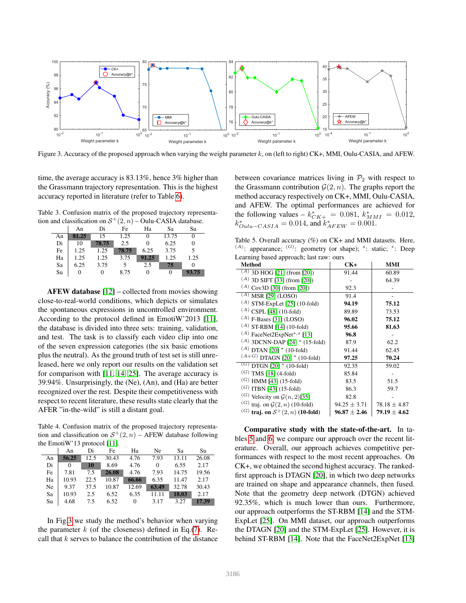

<span id="page-6-1"></span>Figure 3. Accuracy of the proposed approach when varying the weight parameter  $k$ , on (left to right) CK+, MMI, Oulu-CASIA, and AFEW.

time, the average accuracy is 83.13%, hence 3% higher than the Grassmann trajectory representation. This is the highest accuracy reported in literature (refer to Table [6\)](#page-7-1).

Table 3. Confusion matrix of the proposed trajectory representation and classification on  $S^+(2, n)$  – Oulu-CASIA database.

|    | An    | Di    | Fe    | Ha    | Sa    | Su    |  |
|----|-------|-------|-------|-------|-------|-------|--|
| An | 81.25 | 15    | 1.25  |       | 13.75 |       |  |
| Di | 10    | 78.75 | 2.5   |       | 6.25  |       |  |
| Fe | 1.25  | 1.25  | 78.75 | 6.25  | 3.75  |       |  |
| Ha | 1.25  | 1.25  | 3.75  | 91.25 | 1.25  | 1.25  |  |
| Sa | 6.25  | 3.75  |       | 2.5   | 75    |       |  |
| Su |       | 0     | 8.75  |       |       | 93.75 |  |

AFEW database [\[12\]](#page-8-24) – collected from movies showing close-to-real-world conditions, which depicts or simulates the spontaneous expressions in uncontrolled environment. According to the protocol defined in EmotiW'2013 [\[11\]](#page-8-25), the database is divided into three sets: training, validation, and test. The task is to classify each video clip into one of the seven expression categories (the six basic emotions plus the neutral). As the ground truth of test set is still unreleased, here we only report our results on the validation set for comparison with [\[11,](#page-8-25) [14,](#page-8-1) [25\]](#page-8-3). The average accuracy is 39.94%. Unsurprisingly, the (Ne), (An), and (Ha) are better recognized over the rest. Despite their competitiveness with respect to recent literature, these results state clearly that the AFER "in-the-wild" is still a distant goal.

Table 4. Confusion matrix of the proposed trajectory representation and classification on  $S^+(2,n)$  – AFEW database following the EmotiW'13 protocol [\[11\]](#page-8-25).

|    | An       | Di   | Fe    | Ha    | Ne       | Sa    | Su    |
|----|----------|------|-------|-------|----------|-------|-------|
| An | 56.25    | 12.5 | 30.43 | 4.76  | 7.93     | 13.11 | 26.08 |
| Di | $\Omega$ | 10   | 8.69  | 4.76  | $\Omega$ | 6.55  | 2.17  |
| Fe | 7.81     | 7.5  | 26.08 | 4.76  | 7.93     | 14.75 | 19.56 |
| Ha | 10.93    | 22.5 | 10.87 | 66.66 | 6.35     | 11.47 | 2.17  |
| Ne | 9.37     | 37.5 | 10.87 | 12.69 | 63.49    | 32.78 | 30.43 |
| Sa | 10.93    | 2.5  | 6.52  | 6.35  | 11.11    | 18.03 | 2.17  |
| Su | 4.68     | 7.5  | 6.52  | 0     | 3.17     | 3.27  | 17.39 |

In Fig[.3](#page-6-1) we study the method's behavior when varying the parameter  $k$  (of the closeness) defined in Eq.[\(7\)](#page-3-2). Recall that  $k$  serves to balance the contribution of the distance between covariance matrices living in  $\mathcal{P}_2$  with respect to the Grassmann contribution  $\mathcal{G}(2, n)$ . The graphs report the method accuracy respectively on CK+, MMI, Oulu-CASIA, and AFEW. The optimal performances are achieved for the following values –  $k_{CK+}^* = 0.081$ ,  $k_{MMI}^* = 0.012$ ,  $k_{Oulu-CASIA}^{*} = 0.014$ , and  $k_{AFEW}^{*} = 0.001$ .

<span id="page-6-0"></span>Table 5. Overall accuracy (%) on CK+ and MMI datasets. Here,  $(A)$ : appearance;  $(G)$ : geometry (or shape); <sup>s</sup>: static; \*: Deep Learning based approach; last raw: ours

| Method                                              | $CK+$            | MMI              |
|-----------------------------------------------------|------------------|------------------|
| $\overline{(A)}$ 3D HOG [21] (from [20])            | 91.44            | 60.89            |
| $(A)$ 3D SIFT [33] (from [20])                      |                  | 64.39            |
| $(A)$ Cov3D [30] (from [20])                        | 92.3             |                  |
| $(A)$ MSR [29] (LOSO)                               | 91.4             |                  |
| $(A)$ STM-ExpLet [25] (10-fold)                     | 94.19            | 75.12            |
| $(A)$ CSPL [48] (10-fold)                           | 89.89            | 73.53            |
| $(A)$ F-Bases [31] (LOSO)                           | 96.02            | 75.12            |
| $(A)$ ST-RBM [14] (10-fold)                         | 95.66            | 81.63            |
| $(A)$ FaceNet2ExpNet*, <sup>s</sup> [13]            | 96.8             |                  |
| $(A)$ 3DCNN-DAP [24] * (15-fold)                    | 87.9             | 62.2             |
| $^{(A)}$ DTAN [20] $^{\ast}$ (10-fold)              | 91.44            | 62.45            |
| $^{(A+G)}$ DTAGN [20] $^{\ast}$ (10-fold)           | 97.25            | 70.24            |
| $\overline{(G)}$ DTGN $\overline{[20]}$ * (10-fold) | 92.35            | 59.02            |
| $^{(G)}$ TMS [18] (4-fold)                          | 85.84            |                  |
| $^{(G)}$ HMM [43] (15-fold)                         | 83.5             | 51.5             |
| $(G)$ ITBN [43] (15-fold)                           | 86.3             | 59.7             |
| <sup>(G)</sup> Velocity on $\mathcal{G}(n,2)$ [35]  | 82.8             |                  |
| $(G)$ traj. on $\mathcal{G}(2,n)$ (10-fold)         | $94.25 \pm 3.71$ | $78.18 \pm 4.87$ |
| (G) traj. on $S^+(2, n)$ (10-fold)                  | $96.87 \pm 2.46$ | $79.19 \pm 4.62$ |

Comparative study with the state-of-the-art. In tables [5](#page-6-0) and [6,](#page-7-1) we compare our approach over the recent literature. Overall, our approach achieves competitive performances with respect to the most recent approaches. On CK+, we obtained the second highest accuracy. The rankedfirst approach is DTAGN [\[20\]](#page-8-2), in which two deep networks are trained on shape and appearance channels, then fused. Note that the geometry deep network (DTGN) achieved 92.35%, which is much lower than ours. Furthermore, our approach outperforms the ST-RBM [\[14\]](#page-8-1) and the STM-ExpLet [\[25\]](#page-8-3). On MMI dataset, our approach outperforms the DTAGN [\[20\]](#page-8-2) and the STM-ExpLet [\[25\]](#page-8-3). However, it is behind ST-RBM [\[14\]](#page-8-1). Note that the FaceNet2ExpNet [\[13\]](#page-8-26)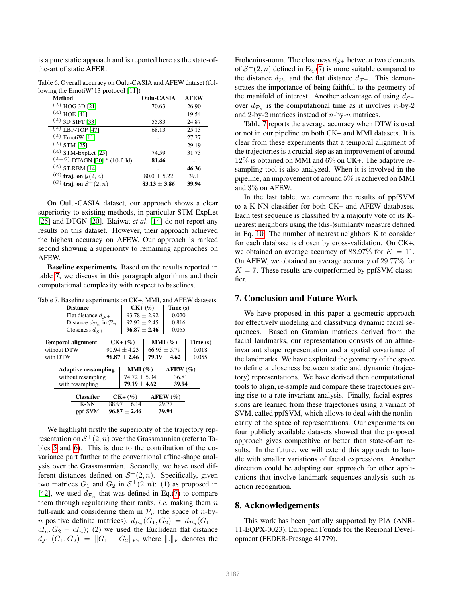is a pure static approach and is reported here as the state-ofthe-art of static AFER.

| Method                            | Oulu-CASIA       | AFLW  |
|-----------------------------------|------------------|-------|
| $(A)$ HOG 3D [21]                 | 70.63            | 26.90 |
| $(A)$ HOE [41]                    |                  | 19.54 |
| $(A)$ 3D SIFT [33]                | 55.83            | 24.87 |
| $(A)$ LBP-TOP [47]                | 68.13            | 25.13 |
| $(A)$ EmotiW [11]                 |                  | 27.27 |
| $(A)$ STM [25]                    |                  | 29.19 |
| $(A)$ STM-ExpLet [25]             | 74.59            | 31.73 |
| $(A+G)$ DTAGN [20] * (10-fold)    | 81.46            |       |
| $(A)$ ST-RBM [14]                 |                  | 46.36 |
| $(G)$ traj. on $\mathcal{G}(2,n)$ | $80.0 \pm 5.22$  | 39.1  |
| $(G)$ traj. on $S^+(2,n)$         | $83.13 \pm 3.86$ | 39.94 |

<span id="page-7-1"></span>Table 6. Overall accuracy on Oulu-CASIA and AFEW dataset (following the EmotiW'13 protocol [\[11\]](#page-8-25)) Method Oulu-CASIA AFEW

On Oulu-CASIA dataset, our approach shows a clear superiority to existing methods, in particular STM-ExpLet [\[25\]](#page-8-3) and DTGN [\[20\]](#page-8-2). Elaiwat *et al*. [\[14\]](#page-8-1) do not report any results on this dataset. However, their approach achieved the highest accuracy on AFEW. Our approach is ranked second showing a superiority to remaining approaches on AFEW.

Baseline experiments. Based on the results reported in table [7,](#page-7-2) we discuss in this paragraph algorithms and their computational complexity with respect to baselines.

<span id="page-7-2"></span>Table 7. Baseline experiments on CK+, MMI, and AFEW datasets.

| <b>Distance</b>             | $CK+$ (%)                                       |                  | Time $(s)$       |                 |         |
|-----------------------------|-------------------------------------------------|------------------|------------------|-----------------|---------|
| Flat distance $d_{\tau+}$   | $93.78 \pm 2.92$                                |                  | 0.020            |                 |         |
|                             | Distance $d_{\mathcal{P}_n}$ in $\mathcal{P}_n$ |                  |                  | 0.816           |         |
|                             | Closeness $d_{S+}$                              |                  |                  | 0.055           |         |
| <b>Temporal alignment</b>   |                                                 | $CK+$ $(\%)$     |                  | $MMI(\%)$       | Time(s) |
| without DTW                 | $90.94 \pm 4.23$                                |                  | $66.93 \pm 5.79$ |                 | 0.018   |
| with DTW                    | $96.87 \pm 2.46$                                |                  | $79.19 \pm 4.62$ |                 | 0.055   |
| <b>Adaptive re-sampling</b> | $MMI(\%)$                                       |                  | $AFEW(\%)$       |                 |         |
|                             | without resampling                              |                  |                  | 36.81           |         |
| with resampling             | $79.19 \pm 4.62$                                |                  | 39.94            |                 |         |
| <b>Classifier</b>           |                                                 | $CK+$ $(\%)$     |                  | $A$ FEW $(\% )$ |         |
| K-NN                        |                                                 | $88.97 \pm 6.14$ |                  | 29.77           |         |
| ppf-SVM                     | $96.87 \pm 2.46$                                |                  | 39.94            |                 |         |

We highlight firstly the superiority of the trajectory representation on  $S^+(2, n)$  over the Grassmannian (refer to Tables [5](#page-6-0) and [6\)](#page-7-1). This is due to the contribution of the covariance part further to the conventional affine-shape analysis over the Grassmannian. Secondly, we have used different distances defined on  $S^+(2, n)$ . Specifically, given two matrices  $G_1$  and  $G_2$  in  $S^+(2, n)$ : (1) as proposed in [\[42\]](#page-9-19), we used  $d_{\mathcal{P}_n}$  that was defined in Eq.[\(7\)](#page-3-2) to compare them through regularizing their ranks, *i.e*. making them n full-rank and considering them in  $\mathcal{P}_n$  (the space of *n*-by*n* positive definite matrices),  $d_{\mathcal{P}_n}(G_1, G_2) = d_{\mathcal{P}_n}(G_1 +$  $\epsilon I_n, G_2 + \epsilon I_n$ ; (2) we used the Euclidean flat distance  $d_{\mathcal{F}^+}(G_1, G_2) = ||G_1 - G_2||_F$ , where  $||.||_F$  denotes the Frobenius-norm. The closeness  $d_{\mathcal{S}^+}$  between two elements of  $S^+(2, n)$  defined in Eq.[\(7\)](#page-3-2) is more suitable compared to the distance  $d_{\mathcal{P}_n}$  and the flat distance  $d_{\mathcal{F}^+}$ . This demonstrates the importance of being faithful to the geometry of the manifold of interest. Another advantage of using  $d_{\mathcal{S}^+}$ over  $d_{\mathcal{P}_n}$  is the computational time as it involves *n*-by-2 and 2-by-2 matrices instead of  $n$ -by- $n$  matrices.

Table [7](#page-7-2) reports the average accuracy when DTW is used or not in our pipeline on both CK+ and MMI datasets. It is clear from these experiments that a temporal alignment of the trajectories is a crucial step as an improvement of around  $12\%$  is obtained on MMI and 6\% on CK+. The adaptive resampling tool is also analyzed. When it is involved in the pipeline, an improvement of around 5% is achieved on MMI and 3% on AFEW.

In the last table, we compare the results of ppfSVM to a K-NN classifier for both CK+ and AFEW databases. Each test sequence is classified by a majority vote of its Knearest neighbors using the (dis-)similarity measure defined in Eq. [10.](#page-4-2) The number of nearest neighbors K to consider for each database is chosen by cross-validation. On CK+, we obtained an average accuracy of 88.97% for  $K = 11$ . On AFEW, we obtained an average accuracy of 29.77% for  $K = 7$ . These results are outperformed by ppfSVM classifier.

### <span id="page-7-0"></span>7. Conclusion and Future Work

We have proposed in this paper a geometric approach for effectively modeling and classifying dynamic facial sequences. Based on Gramian matrices derived from the facial landmarks, our representation consists of an affineinvariant shape representation and a spatial covariance of the landmarks. We have exploited the geometry of the space to define a closeness between static and dynamic (trajectory) representations. We have derived then computational tools to align, re-sample and compare these trajectories giving rise to a rate-invariant analysis. Finally, facial expressions are learned from these trajectories using a variant of SVM, called ppfSVM, which allows to deal with the nonlinearity of the space of representations. Our experiments on four publicly available datasets showed that the proposed approach gives competitive or better than state-of-art results. In the future, we will extend this approach to handle with smaller variations of facial expressions. Another direction could be adapting our approach for other applications that involve landmark sequences analysis such as action recognition.

### 8. Acknowledgements

This work has been partially supported by PIA (ANR-11-EQPX-0023), European Founds for the Regional Development (FEDER-Presage 41779).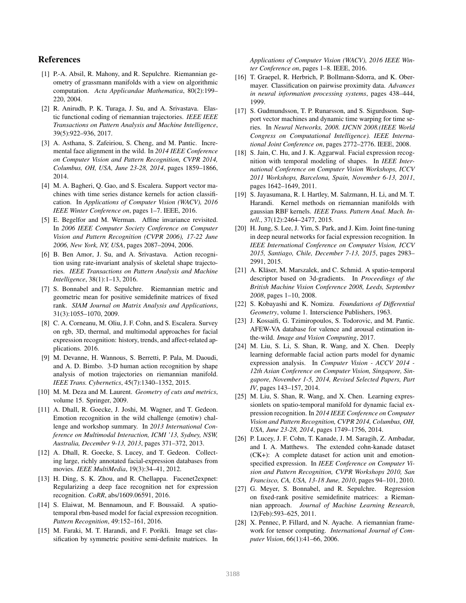# References

- <span id="page-8-18"></span>[1] P.-A. Absil, R. Mahony, and R. Sepulchre. Riemannian geometry of grassmann manifolds with a view on algorithmic computation. *Acta Applicandae Mathematica*, 80(2):199– 220, 2004.
- <span id="page-8-8"></span>[2] R. Anirudh, P. K. Turaga, J. Su, and A. Srivastava. Elastic functional coding of riemannian trajectories. *IEEE IEEE Transactions on Pattern Analysis and Machine Intelligence*, 39(5):922–936, 2017.
- <span id="page-8-4"></span>[3] A. Asthana, S. Zafeiriou, S. Cheng, and M. Pantic. Incremental face alignment in the wild. In *2014 IEEE Conference on Computer Vision and Pattern Recognition, CVPR 2014, Columbus, OH, USA, June 23-28, 2014*, pages 1859–1866, 2014.
- <span id="page-8-9"></span>[4] M. A. Bagheri, Q. Gao, and S. Escalera. Support vector machines with time series distance kernels for action classification. In *Applications of Computer Vision (WACV), 2016 IEEE Winter Conference on*, pages 1–7. IEEE, 2016.
- <span id="page-8-12"></span>[5] E. Begelfor and M. Werman. Affine invariance revisited. In *2006 IEEE Computer Society Conference on Computer Vision and Pattern Recognition (CVPR 2006), 17-22 June 2006, New York, NY, USA*, pages 2087–2094, 2006.
- <span id="page-8-10"></span>[6] B. Ben Amor, J. Su, and A. Srivastava. Action recognition using rate-invariant analysis of skeletal shape trajectories. *IEEE Transactions on Pattern Analysis and Machine Intelligence*, 38(1):1–13, 2016.
- <span id="page-8-14"></span>[7] S. Bonnabel and R. Sepulchre. Riemannian metric and geometric mean for positive semidefinite matrices of fixed rank. *SIAM Journal on Matrix Analysis and Applications*, 31(3):1055–1070, 2009.
- <span id="page-8-0"></span>[8] C. A. Corneanu, M. Oliu, J. F. Cohn, and S. Escalera. Survey on rgb, 3D, thermal, and multimodal approaches for facial expression recognition: history, trends, and affect-related applications. 2016.
- <span id="page-8-11"></span>[9] M. Devanne, H. Wannous, S. Berretti, P. Pala, M. Daoudi, and A. D. Bimbo. 3-D human action recognition by shape analysis of motion trajectories on riemannian manifold. *IEEE Trans. Cybernetics*, 45(7):1340–1352, 2015.
- <span id="page-8-13"></span>[10] M. M. Deza and M. Laurent. *Geometry of cuts and metrics*, volume 15. Springer, 2009.
- <span id="page-8-25"></span>[11] A. Dhall, R. Goecke, J. Joshi, M. Wagner, and T. Gedeon. Emotion recognition in the wild challenge (emotiw) challenge and workshop summary. In *2013 International Conference on Multimodal Interaction, ICMI '13, Sydney, NSW, Australia, December 9-13, 2013*, pages 371–372, 2013.
- <span id="page-8-24"></span>[12] A. Dhall, R. Goecke, S. Lucey, and T. Gedeon. Collecting large, richly annotated facial-expression databases from movies. *IEEE MultiMedia*, 19(3):34–41, 2012.
- <span id="page-8-26"></span>[13] H. Ding, S. K. Zhou, and R. Chellappa. Facenet2expnet: Regularizing a deep face recognition net for expression recognition. *CoRR*, abs/1609.06591, 2016.
- <span id="page-8-1"></span>[14] S. Elaiwat, M. Bennamoun, and F. Boussaïd. A spatiotemporal rbm-based model for facial expression recognition. *Pattern Recognition*, 49:152–161, 2016.
- <span id="page-8-15"></span>[15] M. Faraki, M. T. Harandi, and F. Porikli. Image set classification by symmetric positive semi-definite matrices. In

*Applications of Computer Vision (WACV), 2016 IEEE Winter Conference on*, pages 1–8. IEEE, 2016.

- <span id="page-8-21"></span>[16] T. Graepel, R. Herbrich, P. Bollmann-Sdorra, and K. Obermayer. Classification on pairwise proximity data. *Advances in neural information processing systems*, pages 438–444, 1999.
- <span id="page-8-22"></span>[17] S. Gudmundsson, T. P. Runarsson, and S. Sigurdsson. Support vector machines and dynamic time warping for time series. In *Neural Networks, 2008. IJCNN 2008.(IEEE World Congress on Computational Intelligence). IEEE International Joint Conference on*, pages 2772–2776. IEEE, 2008.
- <span id="page-8-7"></span>[18] S. Jain, C. Hu, and J. K. Aggarwal. Facial expression recognition with temporal modeling of shapes. In *IEEE International Conference on Computer Vision Workshops, ICCV 2011 Workshops, Barcelona, Spain, November 6-13, 2011*, pages 1642–1649, 2011.
- <span id="page-8-20"></span>[19] S. Jayasumana, R. I. Hartley, M. Salzmann, H. Li, and M. T. Harandi. Kernel methods on riemannian manifolds with gaussian RBF kernels. *IEEE Trans. Pattern Anal. Mach. Intell.*, 37(12):2464–2477, 2015.
- <span id="page-8-2"></span>[20] H. Jung, S. Lee, J. Yim, S. Park, and J. Kim. Joint fine-tuning in deep neural networks for facial expression recognition. In *IEEE International Conference on Computer Vision, ICCV 2015, Santiago, Chile, December 7-13, 2015*, pages 2983– 2991, 2015.
- <span id="page-8-6"></span>[21] A. Kläser, M. Marszalek, and C. Schmid. A spatio-temporal descriptor based on 3d-gradients. In *Proceedings of the British Machine Vision Conference 2008, Leeds, September 2008*, pages 1–10, 2008.
- <span id="page-8-17"></span>[22] S. Kobayashi and K. Nomizu. *Foundations of Differential Geometry*, volume 1. Interscience Publishers, 1963.
- <span id="page-8-5"></span>[23] J. Kossaifi, G. Tzimiropoulos, S. Todorovic, and M. Pantic. AFEW-VA database for valence and arousal estimation inthe-wild. *Image and Vision Computing*, 2017.
- <span id="page-8-27"></span>[24] M. Liu, S. Li, S. Shan, R. Wang, and X. Chen. Deeply learning deformable facial action parts model for dynamic expression analysis. In *Computer Vision - ACCV 2014 - 12th Asian Conference on Computer Vision, Singapore, Singapore, November 1-5, 2014, Revised Selected Papers, Part IV*, pages 143–157, 2014.
- <span id="page-8-3"></span>[25] M. Liu, S. Shan, R. Wang, and X. Chen. Learning expressionlets on spatio-temporal manifold for dynamic facial expression recognition. In *2014 IEEE Conference on Computer Vision and Pattern Recognition, CVPR 2014, Columbus, OH, USA, June 23-28, 2014*, pages 1749–1756, 2014.
- <span id="page-8-23"></span>[26] P. Lucey, J. F. Cohn, T. Kanade, J. M. Saragih, Z. Ambadar, and I. A. Matthews. The extended cohn-kanade dataset (CK+): A complete dataset for action unit and emotionspecified expression. In *IEEE Conference on Computer Vision and Pattern Recognition, CVPR Workshops 2010, San Francisco, CA, USA, 13-18 June, 2010*, pages 94–101, 2010.
- <span id="page-8-16"></span>[27] G. Meyer, S. Bonnabel, and R. Sepulchre. Regression on fixed-rank positive semidefinite matrices: a Riemannian approach. *Journal of Machine Learning Research*, 12(Feb):593–625, 2011.
- <span id="page-8-19"></span>[28] X. Pennec, P. Fillard, and N. Ayache. A riemannian framework for tensor computing. *International Journal of Computer Vision*, 66(1):41–66, 2006.